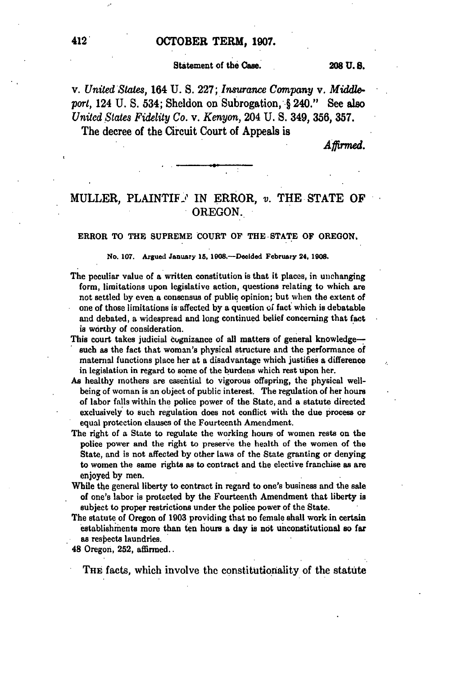# OCTOBER TERM, **1907.**

#### Statement of the Case. **208 U.S.**

*v. United States,* 164 **U. S. 227;** *Insurance Company* v. *Middle*port, 124 **U. S.** 534; Sheldon on Subrogation, **§** 240." See also *United* States *Fidelity Co.* v. *Kenyon,* 204 **U. S.** 349, **356, 357.** The decree of the Circuit Court of Appeals is

*Afrmed.*

# MULLER, PLAINTIF. IN ERROR, v. THE STATE OF **OREGON.**

#### ERROR TO THE SUPREME COURT OF THE STATE OF OREGON.

#### **No. 107. Argued January 15, 1908.-Decided February 24, 1908.**

- The peculiar value of a written constitution is that it places, in unchanging form, limitations upon legislative action, questions relating to which are not settled **by** even a consensus of public opinion; but when the extent of one of those limitations is affected **by** a question of fact which is debatable and debated, a widespread and long continued belief concerning that fact is worthy of consideration.
- This court takes judicial cognizance of all matters of general knowledge-such **as** the fact that woman's physical structure and the performance of maternal functions place her at a disadvantage which justifies a difference in legislation in regard to some of the burdens which rest upon her.
- As healthy mothers are essential to vigorous offspring, the physical wellbeing of woman is an object of public interest. The regulation of her hours of labor falls within the police power of the State, and a statute directed exclusively to such regulation does not conflict with the due process or equal protection clauses of the Fourteenth Amendment.
- The right of a State to regulate the working hours of women rests on the police power and the right to preserve the health of the women of the State, and is not affected **by** other laws of the State granting or denying to women the same rights as to contract and the elective franchise **as** are enjoyed **by** men.
- While the general liberty to contract in regard to one's business and the sale of one's labor is protected **by** the Fourteenth Amendment that liberty is subject to proper restrictions under the police power of the State.
- The statute of Oregon of **1903** providing that no female shall work in certain establishments more than ten hours a day is not unconstitutional so far as resjects laundries.

48 Oregon, 252, affirmed..

**THE** facts, which involve **thc** constitutionality of the statute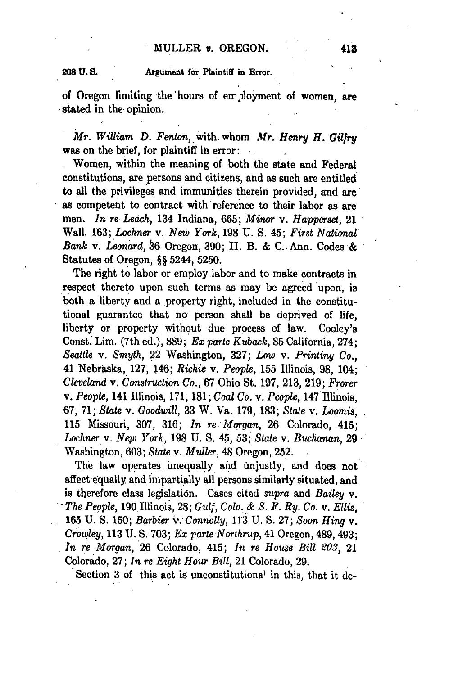**208 U.S. Argument for Plaintiff in Error.**

of Oregon limiting the hours of enr ployment of women, are stated in the opinion.

*Mr. William D. Fenton,* with. whom *Mr. Henry H. Gilfry* was on the brief, for plaintiff in error: **.**

Women, within the meaning of both the state and Federal constitutions, are persons and citizens, and as such are entitled to **all** the privileges and immunities therein provided, and **are -** as competent to contract with reference to their labor as are men. *In* re. *Leach,* 134 Indiana, **665;** *Minor* v. *Happerset,* 21 Wall. **163;** *Lochner* v. *New York,* **198 U. S.** 45; *First National Bank* v. *Leonard,* **6** Oregon, **390; II.** B. **& C.** Ann. Codes & Statutes of Oregon, §§ 5244, 5250.

The right to labor or employ labor and to make contracts in respect thereto upon such terms as may be agreed upon, is both a liberty and a property right, included in the constitutional guarantee that no person shall be deprived of life, liberty or property without due process of law. Cooley's Const. Lim. (7th ed.), **889;** *Ex parte Kuback,* **85** California, 274; *Seattle* v. *Smyth,* 22 Washington, 327; *Low* v. *Printing Co.,* 41 Nebraska, 127, 146; *Richie* v. *People,* 155 Illinois, 98, 104; *Cleveland* v. *(onslruction* Co., 67 Ohio St. 197, 213, 219; Frorer *v. People,* 141 Illinois, 171, 181 *;Coal Co. v. People,* 147 Illinois, 67, 71; *State* v. *Goodwill,* 33 W. Va. 179, 183; *State* v. *Loomis,* 115 Missouri, 307, 316; *In re Morgan,* **26** Colorado, 415; *Lochner* v. *New York,* 198 U. **S.** 45, **53;** *State* v. *Buchanan,* 29. Washington, 603; *State* v. *Muller,* 48 Oregon, 252.

The law operates unequally and unjustly, and does not affect equally and impartially all persons similarly situated, and is therefore class legislation. Cases cited *supra* and *Bailey* v. *The People,* **190** Illinois, 28; *Gulf, Colo. & S. F. Ry. Co. v. Ellis,* . 165 **U.** S. 150; *Barbier* .*Connolly,* **113** U. **S.** 27; *Soon Hing* v. *Crowley, 113 U. S. 703; Ex parte Northrup, 41 Oregon, 489, 493; In re Morgan, 26 Colorado, 415; <i>In re House Bill 203*, 21 Colorado, 27; *In re Eight H6ur Bill,* 21 Colorado, 29.

Section 3 of this act is unconstitutional in this, that it de-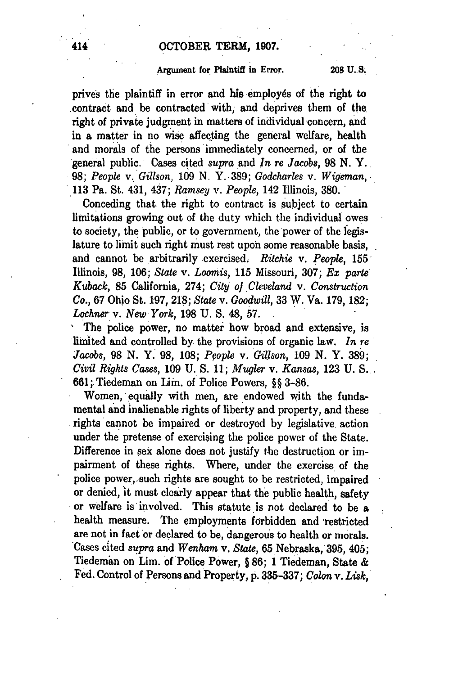# OCTOBER TERM, **1907.**

# Argument for **Plaintiff** in Error. 208 **U.S.**

prives the plaintiff in error and his employes of the right to contract and be contracted with, and deprives them of the right of private judgment in matters of individual concern, and in a matter in no wise affecting the general welfare, health and morals of the persons immediately concerned, or of the general public. Cases cited *supra* and *In re Jacobs,* **98 N.** Y. **98;** *People* v. *Gillson,* 109 N. Y..389; *Godcharles v. Wigeman,* 113 Pa. St. 431, 437; *Ramsey* v. *People,* 142 Illinois, 380.

Conceding that the right to contract is subject to certain limitations growing out of the duty which the individual owes to society, the public, or to government, the power of the legislature to limit such right must rest upon some reasonable basis, and cannot be arbitrarily exercised; *Ritchie v. People,* 155 Illinois, **98,** 106; *State v. Loomis,* 115 Missouri, 307; *Ex parte Kuback,* 85 California, 274; *City of Cleveland* v. *Construction Co.,* 67 Ohio St. 197, 218; *State* v. *Goodwill,* 33 W. Va. 179, 182; *Lochner* v. *New York,* 198 U. S. *48,* 57.

The police power, no matter how broad and extensive, is limited and controlled by the provisions of organic law. *In re Jacobs,* 98 N. Y. 98, 108; *People v. Gillson,* 109 N. Y. 389; *Civil Rights Cases,* 109 U. S. 11; *Mugler* v. *Kansas,* 123 U. S. 661; Tiedeman on Lim. of Police Powers, §§ 3-86.

Women, equally with men, are endowed with the fundamental and inalienable rights of liberty and property, and these rights cannot be impaired or destroyed by legislative. action under the pretense of exercising the police power of the State. Difference in sex alone does not justify the destruction or impairment of these rights. Where, under the exercise of the police power, such rights are sought to be restricted, impaired or denied, it must clearly appear that the public health, safety or welfare is involved. This statute is not declared to be **a** health measure. The employments forbidden and restricted are not in fact or declared to be, dangerous to health or morals. 'Cases cited *supra* and *Wenham* v. *State,* **65** Nebraska, **395,** 405; Tiedeman on Lim. **of** Police Power, § **86;** 1 Tiedeman, State & Fed. Control of Persons and Property, p. 335-337; Colon v. Lisk,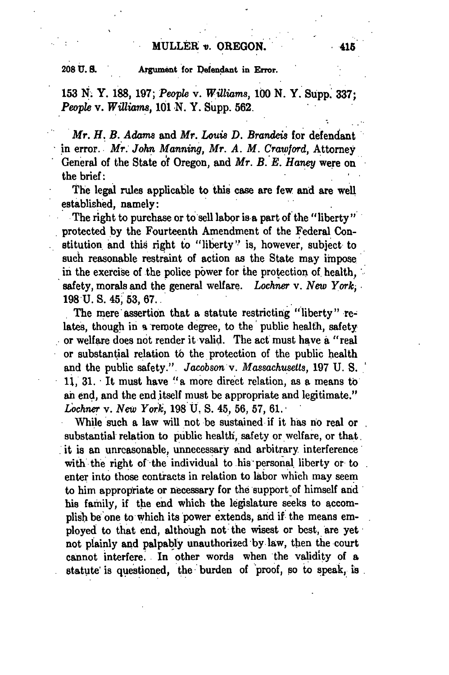# **MULLER** v. **OREGON.**

**208 U. 8. Argument for Defendant in Error.**

**153 N.** Y. **188, 197;** *People* **v.** *Williams,* **100 N.** Y. Supp. **337;** *People v. Williams, 101 N. Y. Supp. 562.* 

*Mr. H. B. Adams* and *Mr. Louis D. Brandeis* for defendant in error. *Mr; John Manning, Mr. A. M. Crawford,* Attorney General of the State **of** Oregon, and *Mr. B.'E. Haney* were on the brief:

The legal rules applicable to this case are few and are well established, namely:

The right to purchase or to'sell labor is a part of the "liberty" protected **by** the Fourteenth Amendment of the Federal Constitution and this right to "liberty'? is, however, subject to such reasonable restraint of action as the State may impose in the exercise of the police power for the protection of health, safety, morals and the general welfare. *Lochner* v. *New York.* **198-U. S. 45, 53, 67..**

The mere assertion that a statute restricting "liberty" relates, though in a remote degree, to the public health, safety or welfare does not render it valid. The act must have **a** "real or substantial relation to the protection of the public health and the public safety.". *Jacobson* v. *Massachusetts,* **197 U. S. 11, 31. -**It must have "a more direct relation, as **a** means to an end, and the end itself must be appropriate and legitimate." *Lochner* v. *New York ,* **198'U, S.** 45, **56, 57, 61.'**

While such a law will not be sustained if it has no real or substantial relation to public health, safety or welfare, or that. it is an unreasonable, unnecessary and arbitrary interference' with the right of the individual to his personal liberty or to enter into those contracts in relation to labor which may seem to him appropriate or necessary for the support of himself and his family, if the end which the legislature seeks to accomplish be'one to which its power extends, and if. the means employed to that end, although not the wisest or best, are yet not plainly and palpably unauthorized **by** law, then the court cannot interfere. In other words when the validity of a statute' is questioned, the burden of proof, so to speak, **is**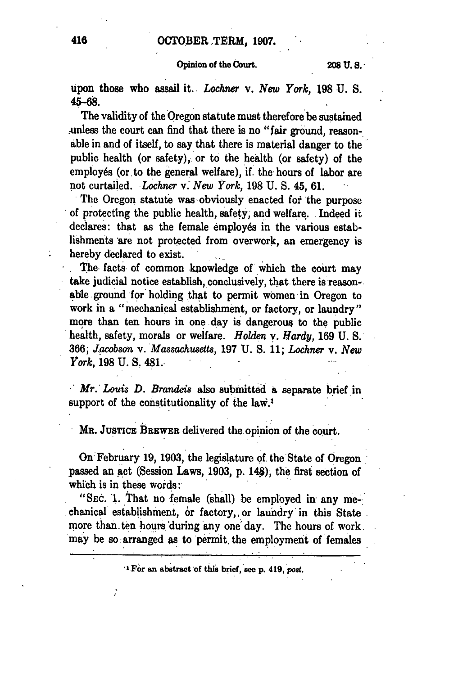## **Opinion of the Court.** 208 U.S.

upon those who assail it. Lochner v. *New York,* **198 U. S.** 45-68.

The validity of the Oregon statute must therefore be sustained unless the court can find that there is no "fair ground, reasonable in and of itself, to say that there is material danger to the public health (or safety), or to the health (or safety) of the employés (or to the general welfare), if. the hours of labor are not curtailed. *Lochner v. New York,* **198 U. S.** 45, **61.**

The Oregon statute was obviously enacted for the purpose of protecting the public health, safety, and welfare. Indeed it declares: that as the female employés in the various establishments 'are not protected from overwork, an emergency is hereby declared to exist.

The facts of common knowledge of which the court may take judicial notice establish, conclusively, that there is reasonable ground for holding that to permit women in Oregon to work in a "mechanical establishment, or factory, or laundry" more than ten hours in one day is dangerous to the public health, safety, morals or welfare. *Holden* **v.** *Hardy,* **169 U. S. 366;** *Jqacobson v. Massachusetts,* **197 U. S. 11;** *Lochner* v. *New York,* **198 U. S.** 481..

*Mr.' Louis D. Brandeis* also submitted **a** separate brief in support of the constitutionality of the law.<sup>1</sup>

MR. **JUSTICE** BREWER delivered the opinion of the court.

On February **19, 1903,** the legislature **of.** the'State of Oregon passed an act (Session Laws, **1903, p.** 14\$), the first section of which is in these words:

**"SEc. 1.** That no female (shall) be employed in any mechanical establishment, 6r factory,, or laundry in this State more than ten hours during any one day. The hours of work. may be so:arranged **as** to permit, the employment of females

**1 For an abstract of this brief, see p. 419,** *post.*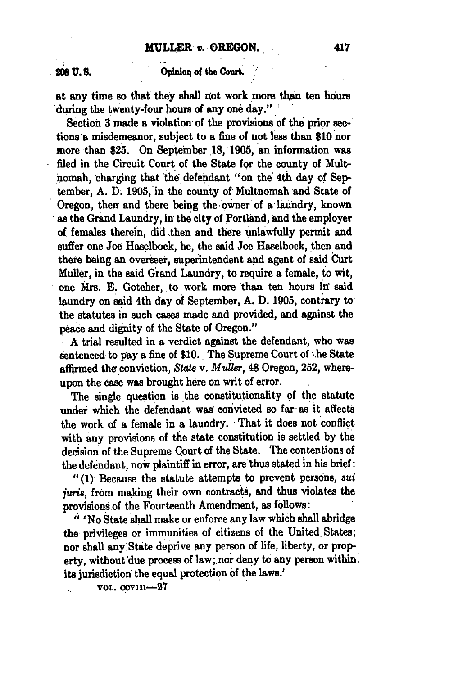# **208 U.S.** Opinion of the Court.

at any time so that they shall not work more than ten hours during the twenty-four hours of any one **day."**

Section **3** made **a** violation of the provisions of the prior **sec**tions **a** misdemeanor, subject to a fine of not less than **\$10** nor more than **\$25.** On September 18, 1905, an information was filed in the Circuit Court of the State for the county of Multnomah, charging that **the** defendant "on the 4th day of September, **A. D.** 1905,'in the county of' Multnomah and State of Oregon, then and there being the-owner of a laundry, known as the Grand Laundry, in the city of Portland, and the employer of females therein, did then and there unlawfully permit and suffer one Joe Haselbock, he, the said Joe Haselbock, then and there being an overseer, superintendent and agent of said Curt Muller, in the said Grand Laundry, to require a female, to wit, one Mrs. **E.** Gotcher, to work more than ten hours in' said laundry on said 4th day of September, **A. D. 1905,** contrary to the statutes in such cases made and provided, and against the peace and dignity of the State of Oregon."

**A** trial resulted in a verdict against the defendant, who was sentenced to pay a fine of \$10. The Supreme Court of the State affirmed the conviction, *State* v. *Muller,* 48 Oregon, 252, whereupon the case was brought here on **writ** of error.

The single question is the constitutionality **of** the statute under which the defendant **was'** convicted so far as it affects the work of a female in a laundry. 'That it does not conflict with any provisions of the state constitution is settled **by** the decision of the Supreme Court of the State. The contentions of the defendant, now plaintiff in error, are thus stated in his brief:

**"(1)'** Because the statute attempts to prevent persons, *sui juris,* from making their own contracts, and thus violates the provisions of the Fourteenth Amendment, as follows:

"'No State shall make or enforce any law which shall abridge the privileges or immunities of citizens of the United States; nor shall any State deprive any person of life, liberty, or property, without'due process of law;. nor deny **to** any person within. its jurisdiction the equal protection **of** the laws.'

**vol.** cov111-27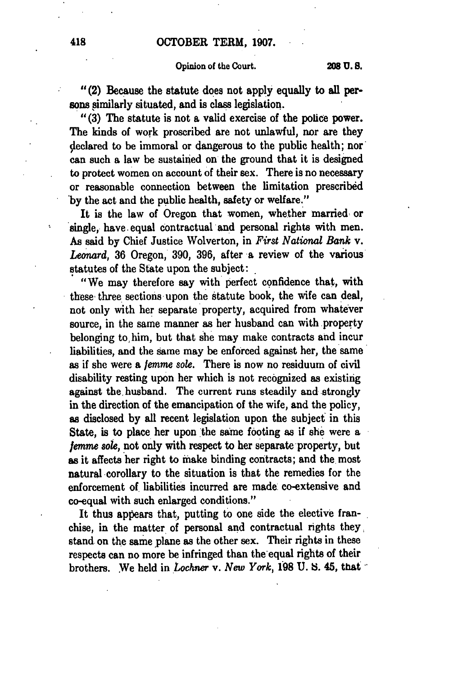### Opinion of the Court. 208 U.S.

"(2) Because the statute does not apply equally to all persons similarly situated, and is class legislation.<br>**"(3)** The statute is not a valid exercise of the police power.

The kinds of work proscribed are not unlawful, nor are they declared to be immoral or dangerous to the public health; nor can such a law be sustained on the ground that it is designed to protect women on account of their sex. There is no necessary or reasonable connection between the limitation prescribed **'by** the act and the public health, safety or welfare."

It is the law of Oregon that women, whether married or single, have equal contractual and personal rights with men. As said **by** Chief Justice Wolverton, in *First National Bank* v. *Leonard,* **36** Oregon, **390, 396,** after a review of the various statutes of the State upon the subject:

"We may therefore say with perfect confidence that, with these three sections upon the statute book, the wife can deal, not only with her separate property, acquired from whatever source, in the same manner as her husband can with property belonging to, him, but that she may make contracts and incur liabilities, and the Same may be enforced against her, the same as if she were a *lemme sole.* There is now no residuum of civil disability resting upon her which is not recognized as existing against the, husband. The current runs steadily and strongly in the direction of the emancipation of the wife, and the policy, as disclosed **by** all recent legislation upon the subject in this State, is to place her upon the same footing as if she were a *Jemme sole,* not only with respect to her separate property, but as it affects her right to make binding contracts; and the most natural corollary to the situation is that the remedies for the enforcement of liabilities incurred are made co-extensive and co-equal with such enlarged conditions."

It thus appears that, putting to one side the elective franchise, in the matter of personal and contractual rights they, stand. on the same plane as the other sex. Their rights in these respects can no more be infringed than the equal rights of their brothers. We held in *Lochner* v. *New York,* **198 U. S.** 45, that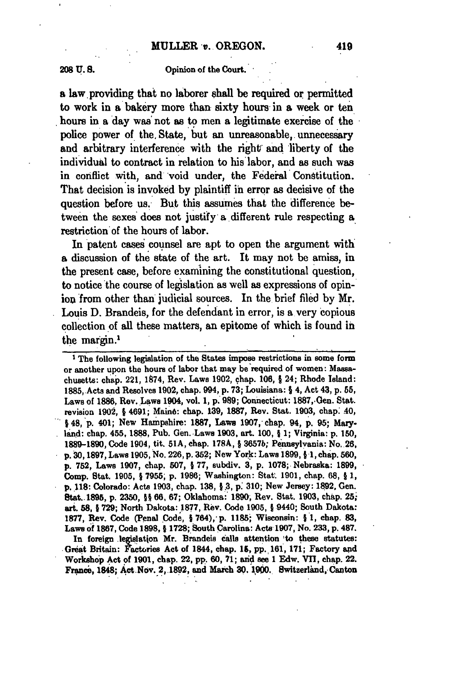## **208 U. B.** Opinion of the Court.

a law.providing that no laborer shall be required or permitted to work in a bakery more than sixty hours in a week or ten hours in a day was' not as to men a legitimate exercise of the police power of the State, but an unreasonable, unnecessary and arbitrary interference with the right' and liberty of the individual to contract in relation to his'labor, and as such was in conflict with, and void under, the Federal Constitution. That decision is invoked by plaintiff in error as decisive of the question before us. But this assumes that the difference between the sexes does not justify **a** different rule respecting a restriction of the hours of labor.

In patent cases counsel are apt to open the argument with a discussion of the state of the art. It may not be amiss, in the present case, before examining the constitutional question, to notice the course of legislation as well as expressions of opinion from other than judicial sources. In the brief **filed** by Mr. Louis D. Brandeis, for the defendant in error, is a very copious collection of all these matters, an epitome of which is found in the margin.'

<sup>1</sup> The following legislation of the States impose restrictions in some form or another upon the hours of labor that may **be** required of women: Massachusetts: chap. 221, **1874,** Rev. Laws **1902,** chap. **106,** § 24; Rhode Island: 1885, Acts and Resolves **1902,** chap. 994, **p. 73;** Louisiana: § 4, Act 43, **p. 55,** Laws of **1886,** Rev. Laws 1904, vol. **1, p. 989;** Connecticut: 1887,.Gen. Stat. revision **1902, j** 4691; Main6: chap. **139, 1887,** Rev. Stat. **1903,** chap. 40, § **48, 'p.** 401; New Hampshire: **1887,** Laws **1907,** chap. 94, **p. 95; Mary. land: chap. 455, 1888, Pub. Gen. Laws 1903, art. 100, § 1; Virginia: p. 150, 1889-1890,** Code 1904, tit. **51A,** chap. **178A,** § **3657b;** Pennsylyania: No. 26, **p. 30,1897,** Laws **1905,** No. **226, p. 352;** New York: Laws **1899, 1.1,** chap. **560, p. 752,** Laws **1907,** chap. **507, § 77,** subdiv. **3, p. 1078;.** Nebraska: **1899,** Comp. Stat. 1905, § 7955, p. 1986; Washington: Stat. 1901, chap. 68, § 1, **p. 118:** Colorado: Acts **1903, chap. 138, 1,3, p: 310;** New Jersey: **1892,** Gen. Btat..1895, **p. 2350, J§ 66, 67;** Oklahoma: **1890;** Rev. Stat. **1903,** chap. **25;** art. **58,** 1 **729;** North Dakota: 1877, Rev. Code **1905, 1** 9440; South Dakota: **1877,** Rev. Code (Penal Code, 1 **764),-p. 1185;** Wisconsin: § **1,** chap. **83,** Laws of 1867, Code **1898, 11728;** South Carolina: Acts 1907, No. **233, p. <sup>487</sup> .** In foreign legislation Mr. Brandeis calls attention to these statutes: Great Britain: Factories Act of 1844, chap. 15, pp. 161, 171; Factory and Workshop Act of **1901,** chap. 22, **pp. 60, 71;** and *see* **1** Edw. VII, chap. 22. France, 1848; Act. Nov. 2, 1892, and March 30. 1900. Switzerland, Canton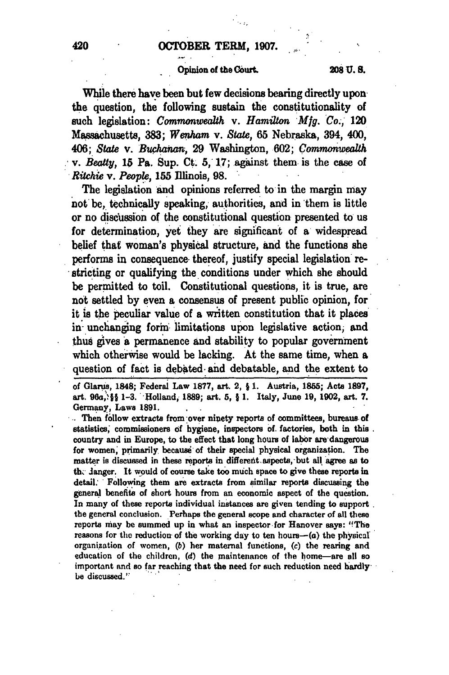# **Opinion of the Court. 208 U. S.**

While there have been but few decisions bearing directly upon **the** question, the following sustain the constitutionality of such legislation: *Commonwealth* v. *Hamilton Mjg. Co.,* **120** Massachusetts, **383;** *Wemrham v. State,* **65** Nebraska, 394, 400, 406; *State* v. *Buchanan,* **29** Washington, **602;** *Commonwealth v. Beatty,* **15** Pa. Sup. **Ct.** 5, **17;** against them is the case of *Rikchie v. People,* **155 Illinois, 98.**

The legislation and opinions referred to in the margin may not be, technically speaking, authorities, and in 'them is little or no discussion of the constitutional question presented to us for determination, yet they are significant of a widespread belief that woman's **physical** structure, **and** the functions she performs in consequence thereof, justify special legislation re stricting or qualifying the conditions under which she should be permitted to toil. Constitutional questions, it is true, are not settled **by** even a consensus of present public opinion, for it is the peculiar value of a written constitution that it places in- unchanging forin limitations upon legislative action, and **thus** gives a permanence and stability to popular government which otherwise would be lacking. At the same time, when a question of fact is debated and debatable, and the extent to

of Glarus, 1848; Federal Law **1877, art.** 2, **1 1.** Austria, **1855;** Acts **1897,** art. 96a,111 **1-3.** "Holland, **1889;** art. **5, 11.** Italy, June **19, 1902,** art. **7.** Germany, Laws **1891.**

Then follow extracts from over ninety reports of committees, bureaus of statistics, commissioners of hygiene, inspectors of factories, both in this. country **and** in Europe, to the effect that long hours of labor aredangerous for women, primarily because of their special physical organization. The matter is discussed in these reports in different aspects, but all agree as to **th-** Janger. It would of course take too **much** space to give these reports in detail:' Following them are extracts from similar reports discussing the **general** benefits of short hours from an economic aspect of the question. In many of these reports individual instances are given tending to support. the general conclusion. Perhaps the general scope and character of all these reports may be summed up in what an inspector.for Hanover says: "The reasons for the reduction of the working day to ten hours- $(a)$  the physical organization of women, **(b)** her maternal functions, (c) the rearing and education of the children, (d) the maintenance of the home-are all so important and so far reaching that the need for such reduction need hardly**be** discussed."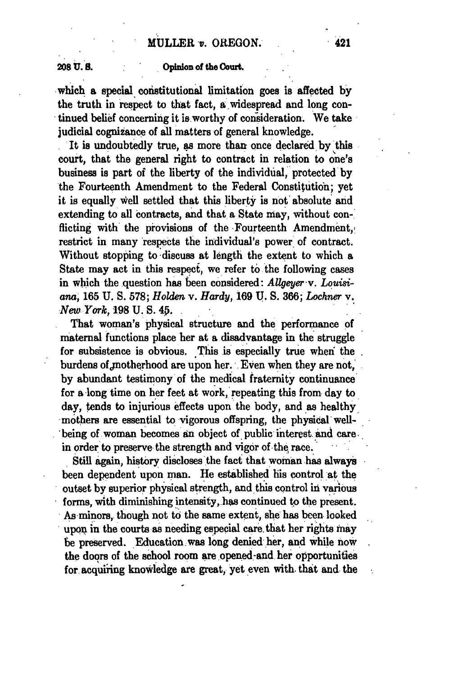#### **208 U. S. Opinion** of the Court.

-which a special constitutional limitation goes is affected **by** the truth in respect to that fact, **a** widespread and long continued belief concerning it is.worthy of consideration. We take judicial cognizance of all matters of general knowledge.

It is undoubtedly true, **as** more than once declared by this court, that the general right to contract in relation to one's business is part of the liberty of the individual, protected by the Fourteenth Amendment to the Federal Constitution; yet it is equally well settled that this liberty is not absolute and extending to all contracts, and that a State may, without conflicting with the provisions of the Fourteenth Amendment, restrict in many respects the individual's power of contract. Without stopping to discuss at length the extent to which **a** State may act in this respect, we refer to the following cases in which the question has been considered: *Allgeyer'v. Louisiana,* **165 U. S. 578;** *Holden* v. *Hardy,* **169 U. S. 366;** *Lochner* v. *New York,* 198 U.S. 45.

That woman's physical structure and the performance of maternal functions place her at a disadvantage in the struggle for subsistence is obvious. This is especially true when the burdens of motherhood are upon her. . Even when they are not, **by** abundant testimony of the medical fraternity continuance for a long time on her feet at work, repeating this from day to day, tends to injurious effects upon the body, and as healthy mothers are essential to vigorous offspring, the physical well-'being of woman becomes an object **of.** public interest. and care. in order to preserve the strength and vigor of the race.

Still again, history discloses the fact that woman has always been dependent upon man. He established his control at the outset **by** superior physical strength, and. this control in various forms, with diminishing intensity,.has continued to the present. As minors, though not to the same extent, she has been looked. upon in the courts as needing especial care, that her rights may be preserved. Education:was long denied her, and while now the doors of the school room are opened-and her opportunities for. acquiring knowledge are great, yet even with. that and, the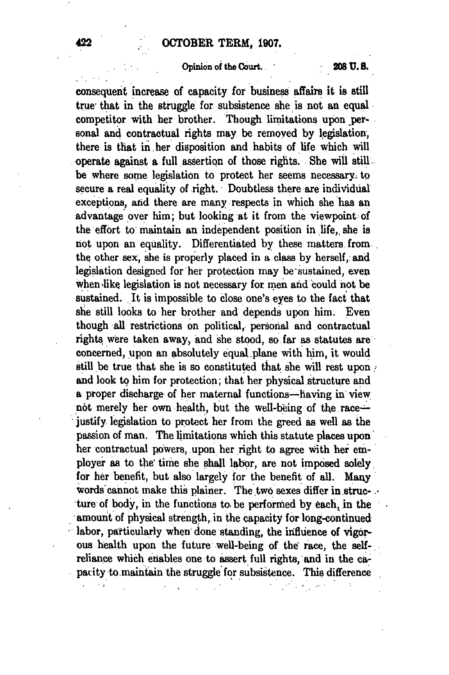# **OCTOBER TERM, 1907.**

# **Opinion of the Court.. 208 U. B.**

consequent increase of capacity for business affairs it is still true' that in the struggle for subsistence she is not an equal. competitor with her brother. Though limitations upon personal **and** contraotual rights may be removed **by** legislation, there is that in .her disposition and habits of life which will operate against **a** full assertion of those rights. She **will** still.. be where some legislation to protect her seems necessary. to secure a real equality of right. Doubtless there are individual exceptions, and there are many respects in which she has an advantage over him; but looking at it from the viewpoint of the'effort to maintain an independent position in life,, she is not upon an equality. Differentiated **by** these matters. from. the other sex, she is properly placed in a class by herself, and legislation designed for her protection may be sustained, even when like legislation is not necessary for men and could not be sustained. **It** is impossible to close one's eyes to the fact that **she** still looks to her brother and depends upon him. Even though all restrictions on political, personal and contractual rights were taken away, and she stood, so far as statutes are' concerned, upon an absolutely equal plane with him, it would still be true that she is so constituted that she will rest upon, and look to him for protection; that her physical structure and a proper discharge of her maternal functions-having in view not merely her own health, but the well-being of the race-**'justify.** legislation to protect her from the greed as well as the passion of man. The limitations which this statute places upon' her contractual powers, upon her right to agree with her employer as to the' time she shall labor, are not imposed solely. for her benefit, but also largely for the benefit of all. Many words' cannot make this plainer. The two sexes differ **in.struc-.** ture of body, in the functions to be performed by each, in the amount of physical strength, in the capacity for long-continued 'labor, particularly when done standing, the influence of **vigor**ous health upon the future well-being of **the** race, the self-. reliance which enables one to assert full rights, and in the capacity to.maintain the struggle'for subsistence. This difference